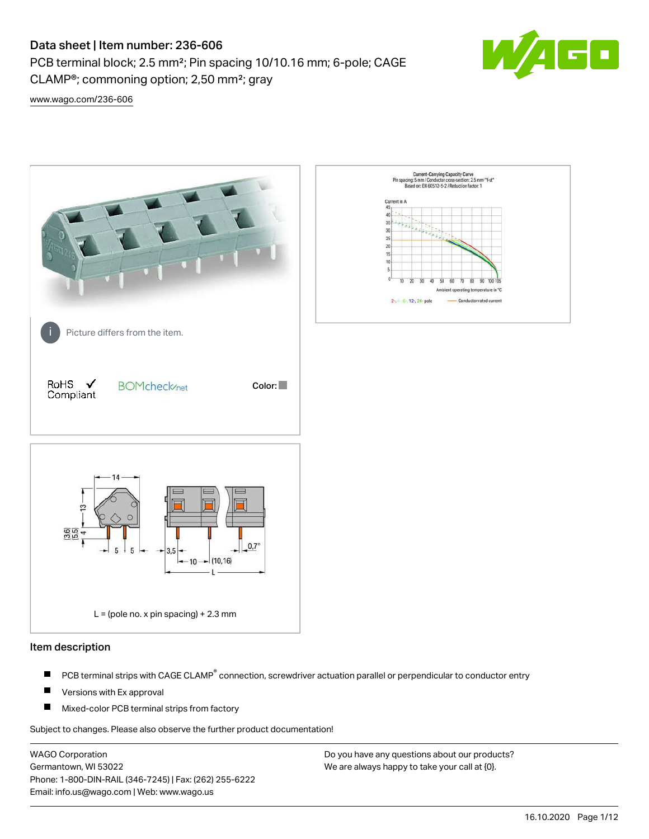PCB terminal block; 2.5 mm²; Pin spacing 10/10.16 mm; 6-pole; CAGE CLAMP®; commoning option; 2,50 mm²; gray



[www.wago.com/236-606](http://www.wago.com/236-606)



#### Item description

- PCB terminal strips with CAGE CLAMP<sup>®</sup> connection, screwdriver actuation parallel or perpendicular to conductor entry П
- П Versions with Ex approval
- П Mixed-color PCB terminal strips from factory

Subject to changes. Please also observe the further product documentation!

WAGO Corporation Germantown, WI 53022 Phone: 1-800-DIN-RAIL (346-7245) | Fax: (262) 255-6222 Email: info.us@wago.com | Web: www.wago.us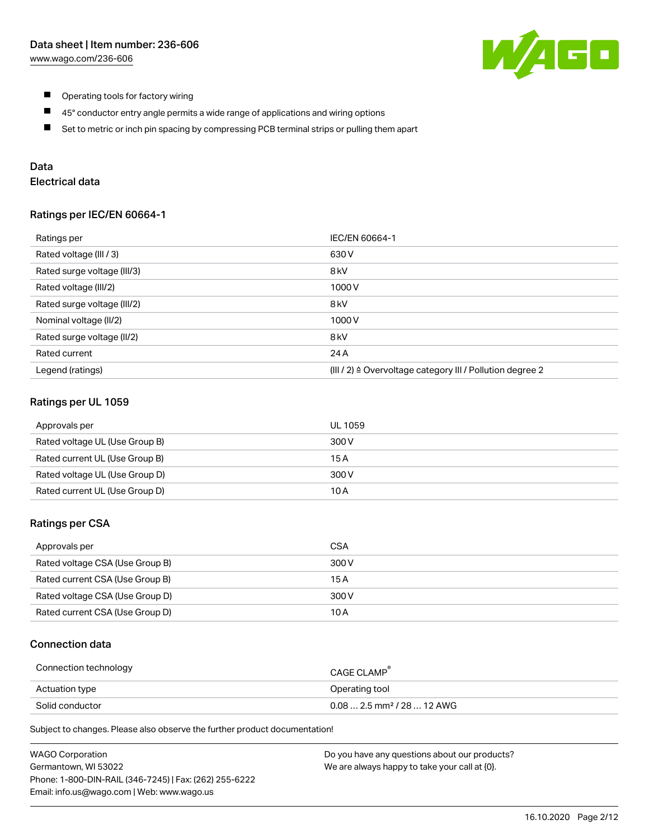

- $\blacksquare$ Operating tools for factory wiring
- $\blacksquare$ 45° conductor entry angle permits a wide range of applications and wiring options
- $\blacksquare$ Set to metric or inch pin spacing by compressing PCB terminal strips or pulling them apart

# Data

# Electrical data

#### Ratings per IEC/EN 60664-1

| Ratings per                 | IEC/EN 60664-1                                                        |
|-----------------------------|-----------------------------------------------------------------------|
| Rated voltage (III / 3)     | 630 V                                                                 |
| Rated surge voltage (III/3) | 8 <sub>kV</sub>                                                       |
| Rated voltage (III/2)       | 1000V                                                                 |
| Rated surge voltage (III/2) | 8 <sub>kV</sub>                                                       |
| Nominal voltage (II/2)      | 1000V                                                                 |
| Rated surge voltage (II/2)  | 8 <sub>kV</sub>                                                       |
| Rated current               | 24 A                                                                  |
| Legend (ratings)            | $(III / 2)$ $\triangle$ Overvoltage category III / Pollution degree 2 |

#### Ratings per UL 1059

| Approvals per                  | UL 1059 |
|--------------------------------|---------|
| Rated voltage UL (Use Group B) | 300 V   |
| Rated current UL (Use Group B) | 15 A    |
| Rated voltage UL (Use Group D) | 300 V   |
| Rated current UL (Use Group D) | 10 A    |

#### Ratings per CSA

| Approvals per                   | CSA   |
|---------------------------------|-------|
| Rated voltage CSA (Use Group B) | 300 V |
| Rated current CSA (Use Group B) | 15 A  |
| Rated voltage CSA (Use Group D) | 300 V |
| Rated current CSA (Use Group D) | 10 A  |

#### Connection data

| Connection technology | CAGE CLAMP <sup>®</sup>                 |
|-----------------------|-----------------------------------------|
| Actuation type        | Operating tool                          |
| Solid conductor       | $0.08$ 2.5 mm <sup>2</sup> / 28  12 AWG |

Subject to changes. Please also observe the further product documentation!

| <b>WAGO Corporation</b>                                | Do you have any questions about our products? |
|--------------------------------------------------------|-----------------------------------------------|
| Germantown, WI 53022                                   | We are always happy to take your call at {0}. |
| Phone: 1-800-DIN-RAIL (346-7245)   Fax: (262) 255-6222 |                                               |
| Email: info.us@wago.com   Web: www.wago.us             |                                               |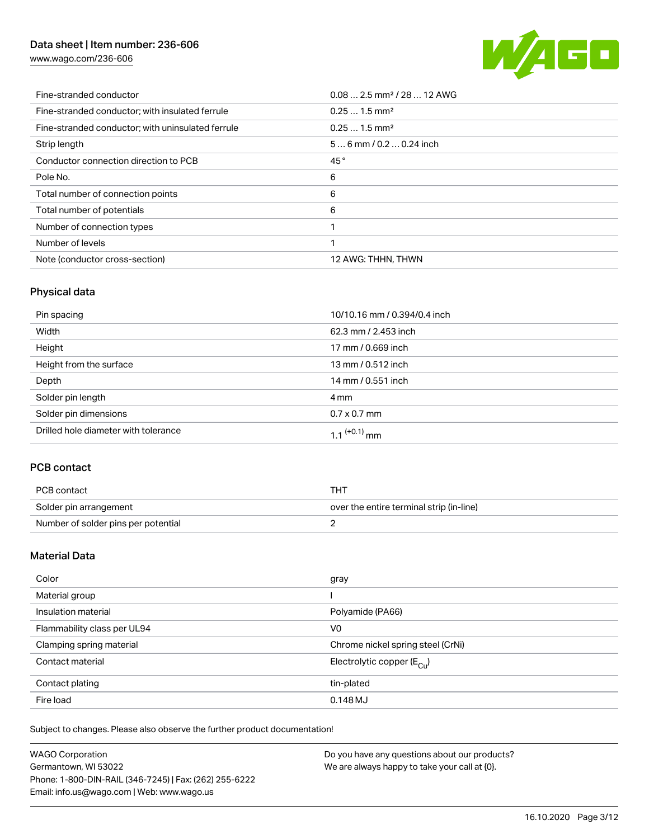[www.wago.com/236-606](http://www.wago.com/236-606)



| Fine-stranded conductor                           | $0.08$ 2.5 mm <sup>2</sup> / 28  12 AWG |
|---------------------------------------------------|-----------------------------------------|
| Fine-stranded conductor; with insulated ferrule   | $0.251.5$ mm <sup>2</sup>               |
| Fine-stranded conductor; with uninsulated ferrule | $0.251.5$ mm <sup>2</sup>               |
| Strip length                                      | $56$ mm / 0.2  0.24 inch                |
| Conductor connection direction to PCB             | 45°                                     |
| Pole No.                                          | 6                                       |
| Total number of connection points                 | 6                                       |
| Total number of potentials                        | 6                                       |
| Number of connection types                        |                                         |
| Number of levels                                  |                                         |
| Note (conductor cross-section)                    | 12 AWG: THHN, THWN                      |

# Physical data

| Pin spacing                          | 10/10.16 mm / 0.394/0.4 inch |
|--------------------------------------|------------------------------|
| Width                                | 62.3 mm / 2.453 inch         |
| Height                               | 17 mm / 0.669 inch           |
| Height from the surface              | 13 mm / 0.512 inch           |
| Depth                                | 14 mm / 0.551 inch           |
| Solder pin length                    | 4 mm                         |
| Solder pin dimensions                | $0.7 \times 0.7$ mm          |
| Drilled hole diameter with tolerance | 1.1 $(+0.1)$ mm              |

# PCB contact

| PCB contact                         | тнт                                      |
|-------------------------------------|------------------------------------------|
| Solder pin arrangement              | over the entire terminal strip (in-line) |
| Number of solder pins per potential |                                          |

## Material Data

| Color                       | gray                                  |
|-----------------------------|---------------------------------------|
| Material group              |                                       |
| Insulation material         | Polyamide (PA66)                      |
| Flammability class per UL94 | V <sub>0</sub>                        |
| Clamping spring material    | Chrome nickel spring steel (CrNi)     |
| Contact material            | Electrolytic copper $(E_{\text{CL}})$ |
| Contact plating             | tin-plated                            |
| Fire load                   | 0.148MJ                               |

Subject to changes. Please also observe the further product documentation!

| <b>WAGO Corporation</b>                                | Do you have any questions about our products? |
|--------------------------------------------------------|-----------------------------------------------|
| Germantown, WI 53022                                   | We are always happy to take your call at {0}. |
| Phone: 1-800-DIN-RAIL (346-7245)   Fax: (262) 255-6222 |                                               |
| Email: info.us@wago.com   Web: www.wago.us             |                                               |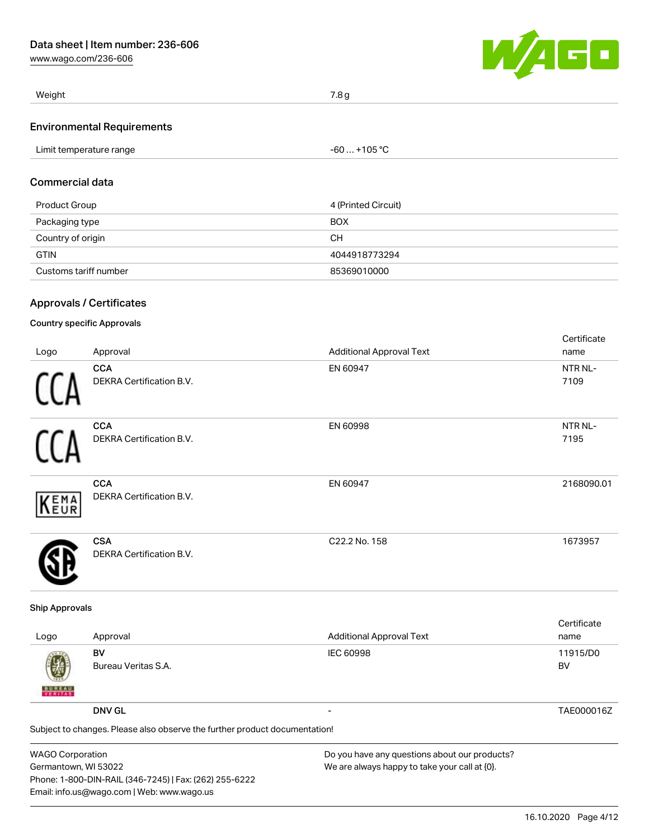[www.wago.com/236-606](http://www.wago.com/236-606)



| Weight                            | 7.8 g |
|-----------------------------------|-------|
| <b>Environmental Requirements</b> |       |

| Limit temperature range | $-60+105 °C$ |  |
|-------------------------|--------------|--|

### Commercial data

| Product Group         | 4 (Printed Circuit) |
|-----------------------|---------------------|
| Packaging type        | <b>BOX</b>          |
| Country of origin     | CН                  |
| <b>GTIN</b>           | 4044918773294       |
| Customs tariff number | 85369010000         |

## Approvals / Certificates

## Country specific Approvals

|      |                                        |                                 | Certificate |
|------|----------------------------------------|---------------------------------|-------------|
| Logo | Approval                               | <b>Additional Approval Text</b> | name        |
|      | <b>CCA</b>                             | EN 60947                        | NTR NL-     |
|      | <b>DEKRA Certification B.V.</b>        |                                 | 7109        |
|      | <b>CCA</b>                             | EN 60998                        | NTR NL-     |
|      | DEKRA Certification B.V.               |                                 | 7195        |
|      | <b>CCA</b>                             | EN 60947                        | 2168090.01  |
| KEMA | DEKRA Certification B.V.               |                                 |             |
|      | <b>CSA</b><br>DEKRA Certification B.V. | C22.2 No. 158                   | 1673957     |

#### Ship Approvals

| Logo                           | Approval                                                                   | <b>Additional Approval Text</b> | Certificate<br>name |  |  |
|--------------------------------|----------------------------------------------------------------------------|---------------------------------|---------------------|--|--|
| 嚩<br><b>BUREAU</b><br>VERITASS | BV<br>Bureau Veritas S.A.                                                  | <b>IEC 60998</b>                | 11915/D0<br>BV      |  |  |
|                                | <b>DNV GL</b>                                                              |                                 | TAE000016Z          |  |  |
|                                | Subject to changes. Please also observe the further product documentation! |                                 |                     |  |  |
|                                |                                                                            |                                 |                     |  |  |

| <b>WAGO Corporation</b>                                |
|--------------------------------------------------------|
| Germantown, WI 53022                                   |
| Phone: 1-800-DIN-RAIL (346-7245)   Fax: (262) 255-6222 |
| Email: info.us@wago.com   Web: www.wago.us             |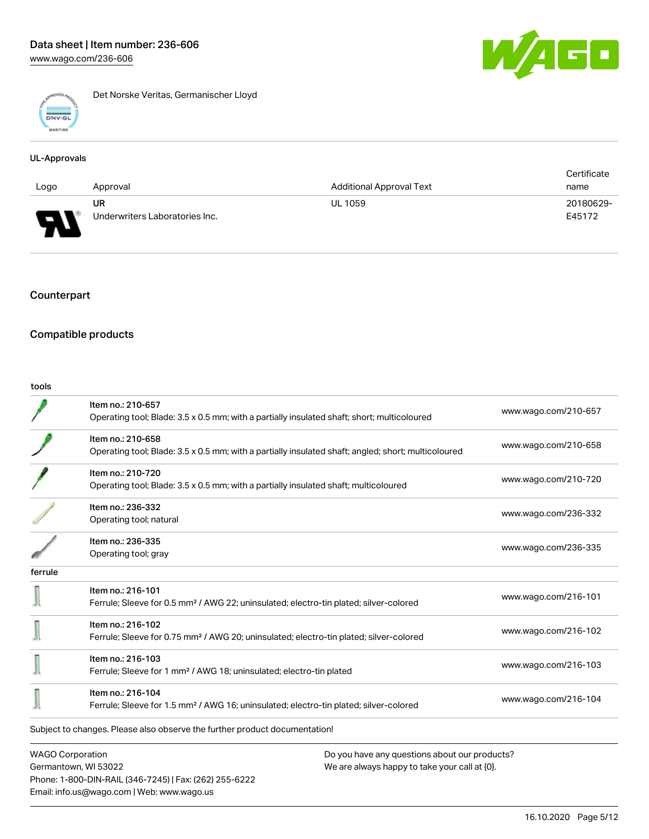

Det Norske Veritas, Germanischer Lloyd

#### UL-Approvals

|      |                                |                                 | Certificate |
|------|--------------------------------|---------------------------------|-------------|
| Logo | Approval                       | <b>Additional Approval Text</b> | name        |
|      | UR                             | <b>UL 1059</b>                  | 20180629-   |
| J    | Underwriters Laboratories Inc. |                                 | E45172      |

## Counterpart

# Compatible products

Email: info.us@wago.com | Web: www.wago.us

| tools                   |                                                                                                                          |                                               |                      |
|-------------------------|--------------------------------------------------------------------------------------------------------------------------|-----------------------------------------------|----------------------|
|                         | Item no.: 210-657<br>Operating tool; Blade: 3.5 x 0.5 mm; with a partially insulated shaft; short; multicoloured         |                                               | www.wago.com/210-657 |
|                         | Item no.: 210-658<br>Operating tool; Blade: 3.5 x 0.5 mm; with a partially insulated shaft; angled; short; multicoloured |                                               | www.wago.com/210-658 |
|                         | Item no.: 210-720<br>Operating tool; Blade: 3.5 x 0.5 mm; with a partially insulated shaft; multicoloured                |                                               | www.wago.com/210-720 |
|                         | Item no.: 236-332<br>Operating tool; natural                                                                             |                                               | www.wago.com/236-332 |
|                         | Item no.: 236-335<br>Operating tool; gray                                                                                |                                               | www.wago.com/236-335 |
| ferrule                 |                                                                                                                          |                                               |                      |
|                         | Item no.: 216-101<br>Ferrule; Sleeve for 0.5 mm <sup>2</sup> / AWG 22; uninsulated; electro-tin plated; silver-colored   |                                               | www.wago.com/216-101 |
|                         | Item no.: 216-102<br>Ferrule; Sleeve for 0.75 mm <sup>2</sup> / AWG 20; uninsulated; electro-tin plated; silver-colored  |                                               | www.wago.com/216-102 |
|                         | Item no.: 216-103<br>Ferrule; Sleeve for 1 mm <sup>2</sup> / AWG 18; uninsulated; electro-tin plated                     |                                               | www.wago.com/216-103 |
|                         | Item no.: 216-104<br>Ferrule; Sleeve for 1.5 mm <sup>2</sup> / AWG 16; uninsulated; electro-tin plated; silver-colored   |                                               | www.wago.com/216-104 |
|                         | Subject to changes. Please also observe the further product documentation!                                               |                                               |                      |
| <b>WAGO Corporation</b> |                                                                                                                          | Do you have any questions about our products? |                      |
|                         | Germantown, WI 53022                                                                                                     | We are always happy to take your call at {0}. |                      |
|                         | Phone: 1-800-DIN-RAIL (346-7245)   Fax: (262) 255-6222                                                                   |                                               |                      |

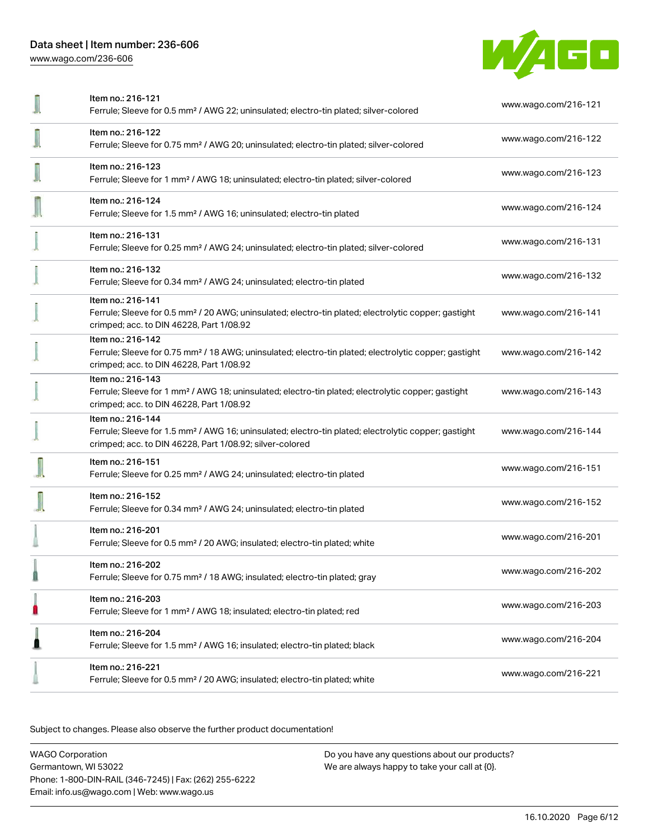

|                          | Item no.: 216-121<br>Ferrule; Sleeve for 0.5 mm <sup>2</sup> / AWG 22; uninsulated; electro-tin plated; silver-colored                                                                            | www.wago.com/216-121 |
|--------------------------|---------------------------------------------------------------------------------------------------------------------------------------------------------------------------------------------------|----------------------|
|                          | Item no.: 216-122<br>Ferrule; Sleeve for 0.75 mm <sup>2</sup> / AWG 20; uninsulated; electro-tin plated; silver-colored                                                                           | www.wago.com/216-122 |
| $\overline{\phantom{a}}$ | Item no.: 216-123<br>Ferrule; Sleeve for 1 mm <sup>2</sup> / AWG 18; uninsulated; electro-tin plated; silver-colored                                                                              | www.wago.com/216-123 |
|                          | Item no.: 216-124<br>Ferrule; Sleeve for 1.5 mm <sup>2</sup> / AWG 16; uninsulated; electro-tin plated                                                                                            | www.wago.com/216-124 |
|                          | Item no.: 216-131<br>Ferrule; Sleeve for 0.25 mm <sup>2</sup> / AWG 24; uninsulated; electro-tin plated; silver-colored                                                                           | www.wago.com/216-131 |
|                          | Item no.: 216-132<br>Ferrule; Sleeve for 0.34 mm <sup>2</sup> / AWG 24; uninsulated; electro-tin plated                                                                                           | www.wago.com/216-132 |
|                          | Item no.: 216-141<br>Ferrule; Sleeve for 0.5 mm <sup>2</sup> / 20 AWG; uninsulated; electro-tin plated; electrolytic copper; gastight<br>crimped; acc. to DIN 46228, Part 1/08.92                 | www.wago.com/216-141 |
|                          | Item no.: 216-142<br>Ferrule; Sleeve for 0.75 mm <sup>2</sup> / 18 AWG; uninsulated; electro-tin plated; electrolytic copper; gastight<br>crimped; acc. to DIN 46228, Part 1/08.92                | www.wago.com/216-142 |
|                          | Item no.: 216-143<br>Ferrule; Sleeve for 1 mm <sup>2</sup> / AWG 18; uninsulated; electro-tin plated; electrolytic copper; gastight<br>crimped; acc. to DIN 46228, Part 1/08.92                   | www.wago.com/216-143 |
|                          | Item no.: 216-144<br>Ferrule; Sleeve for 1.5 mm <sup>2</sup> / AWG 16; uninsulated; electro-tin plated; electrolytic copper; gastight<br>crimped; acc. to DIN 46228, Part 1/08.92; silver-colored | www.wago.com/216-144 |
|                          | Item no.: 216-151<br>Ferrule; Sleeve for 0.25 mm <sup>2</sup> / AWG 24; uninsulated; electro-tin plated                                                                                           | www.wago.com/216-151 |
|                          | Item no.: 216-152<br>Ferrule; Sleeve for 0.34 mm <sup>2</sup> / AWG 24; uninsulated; electro-tin plated                                                                                           | www.wago.com/216-152 |
|                          | Item no.: 216-201<br>Ferrule; Sleeve for 0.5 mm <sup>2</sup> / 20 AWG; insulated; electro-tin plated; white                                                                                       | www.wago.com/216-201 |
|                          | Item no.: 216-202<br>Ferrule; Sleeve for 0.75 mm <sup>2</sup> / 18 AWG; insulated; electro-tin plated; gray                                                                                       | www.wago.com/216-202 |
| П                        | Item no.: 216-203<br>Ferrule; Sleeve for 1 mm <sup>2</sup> / AWG 18; insulated; electro-tin plated; red                                                                                           | www.wago.com/216-203 |
| Ω                        | Item no.: 216-204<br>Ferrule; Sleeve for 1.5 mm <sup>2</sup> / AWG 16; insulated; electro-tin plated; black                                                                                       | www.wago.com/216-204 |
|                          | Item no.: 216-221<br>Ferrule; Sleeve for 0.5 mm <sup>2</sup> / 20 AWG; insulated; electro-tin plated; white                                                                                       | www.wago.com/216-221 |
|                          |                                                                                                                                                                                                   |                      |

Subject to changes. Please also observe the further product documentation!

WAGO Corporation Germantown, WI 53022 Phone: 1-800-DIN-RAIL (346-7245) | Fax: (262) 255-6222 Email: info.us@wago.com | Web: www.wago.us Do you have any questions about our products? We are always happy to take your call at {0}.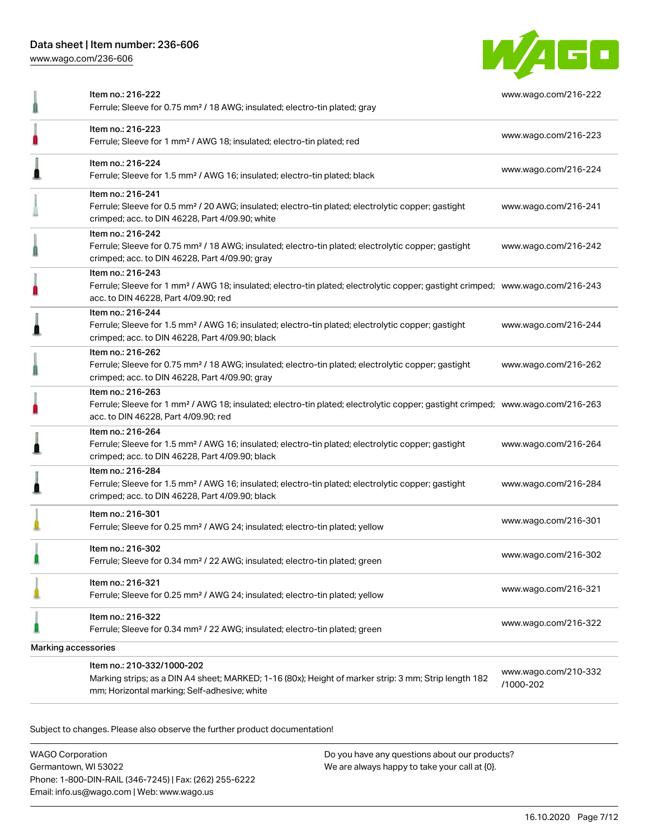[www.wago.com/236-606](http://www.wago.com/236-606)



|                     | Item no.: 216-222<br>Ferrule; Sleeve for 0.75 mm <sup>2</sup> / 18 AWG; insulated; electro-tin plated; gray                                                                                             | www.wago.com/216-222              |
|---------------------|---------------------------------------------------------------------------------------------------------------------------------------------------------------------------------------------------------|-----------------------------------|
|                     | Item no.: 216-223<br>Ferrule; Sleeve for 1 mm <sup>2</sup> / AWG 18; insulated; electro-tin plated; red                                                                                                 | www.wago.com/216-223              |
|                     | Item no.: 216-224<br>Ferrule; Sleeve for 1.5 mm <sup>2</sup> / AWG 16; insulated; electro-tin plated; black                                                                                             | www.wago.com/216-224              |
|                     | Item no.: 216-241<br>Ferrule; Sleeve for 0.5 mm <sup>2</sup> / 20 AWG; insulated; electro-tin plated; electrolytic copper; gastight<br>crimped; acc. to DIN 46228, Part 4/09.90; white                  | www.wago.com/216-241              |
|                     | Item no.: 216-242<br>Ferrule; Sleeve for 0.75 mm <sup>2</sup> / 18 AWG; insulated; electro-tin plated; electrolytic copper; gastight<br>crimped; acc. to DIN 46228, Part 4/09.90; gray                  | www.wago.com/216-242              |
|                     | Item no.: 216-243<br>Ferrule; Sleeve for 1 mm <sup>2</sup> / AWG 18; insulated; electro-tin plated; electrolytic copper; gastight crimped; www.wago.com/216-243<br>acc. to DIN 46228, Part 4/09.90; red |                                   |
|                     | Item no.: 216-244<br>Ferrule; Sleeve for 1.5 mm <sup>2</sup> / AWG 16; insulated; electro-tin plated; electrolytic copper; gastight<br>crimped; acc. to DIN 46228, Part 4/09.90; black                  | www.wago.com/216-244              |
|                     | Item no.: 216-262<br>Ferrule; Sleeve for 0.75 mm <sup>2</sup> / 18 AWG; insulated; electro-tin plated; electrolytic copper; gastight<br>crimped; acc. to DIN 46228, Part 4/09.90; gray                  | www.wago.com/216-262              |
|                     | Item no.: 216-263<br>Ferrule; Sleeve for 1 mm <sup>2</sup> / AWG 18; insulated; electro-tin plated; electrolytic copper; gastight crimped; www.wago.com/216-263<br>acc. to DIN 46228, Part 4/09.90; red |                                   |
|                     | Item no.: 216-264<br>Ferrule; Sleeve for 1.5 mm <sup>2</sup> / AWG 16; insulated; electro-tin plated; electrolytic copper; gastight<br>crimped; acc. to DIN 46228, Part 4/09.90; black                  | www.wago.com/216-264              |
|                     | Item no.: 216-284<br>Ferrule; Sleeve for 1.5 mm <sup>2</sup> / AWG 16; insulated; electro-tin plated; electrolytic copper; gastight<br>crimped; acc. to DIN 46228, Part 4/09.90; black                  | www.wago.com/216-284              |
|                     | Item no.: 216-301<br>Ferrule; Sleeve for 0.25 mm <sup>2</sup> / AWG 24; insulated; electro-tin plated; yellow                                                                                           | www.wago.com/216-301              |
|                     | Item no.: 216-302<br>Ferrule; Sleeve for 0.34 mm <sup>2</sup> / 22 AWG; insulated; electro-tin plated; green                                                                                            | www.wago.com/216-302              |
|                     | Item no.: 216-321<br>Ferrule; Sleeve for 0.25 mm <sup>2</sup> / AWG 24; insulated; electro-tin plated; yellow                                                                                           | www.wago.com/216-321              |
|                     | Item no.: 216-322<br>Ferrule; Sleeve for 0.34 mm <sup>2</sup> / 22 AWG; insulated; electro-tin plated; green                                                                                            | www.wago.com/216-322              |
| Marking accessories |                                                                                                                                                                                                         |                                   |
|                     | Item no.: 210-332/1000-202<br>Marking strips; as a DIN A4 sheet; MARKED; 1-16 (80x); Height of marker strip: 3 mm; Strip length 182<br>mm; Horizontal marking; Self-adhesive; white                     | www.wago.com/210-332<br>/1000-202 |

Subject to changes. Please also observe the further product documentation!

WAGO Corporation Germantown, WI 53022 Phone: 1-800-DIN-RAIL (346-7245) | Fax: (262) 255-6222 Email: info.us@wago.com | Web: www.wago.us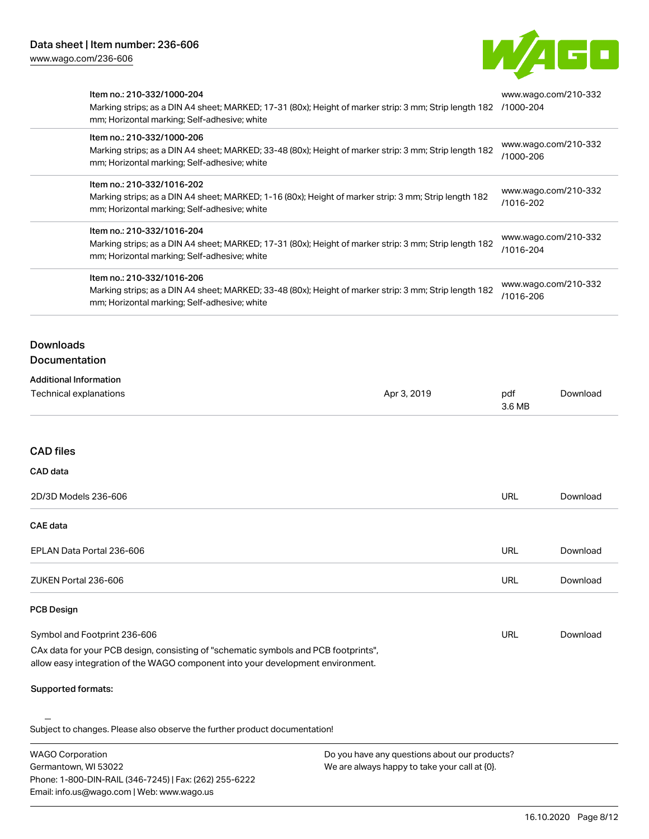Email: info.us@wago.com | Web: www.wago.us



|                                                         | Item no.: 210-332/1000-204<br>Marking strips; as a DIN A4 sheet; MARKED; 17-31 (80x); Height of marker strip: 3 mm; Strip length 182<br>mm; Horizontal marking; Self-adhesive; white<br>Item no.: 210-332/1000-206<br>Marking strips; as a DIN A4 sheet; MARKED; 33-48 (80x); Height of marker strip: 3 mm; Strip length 182<br>mm; Horizontal marking; Self-adhesive; white<br>Item no.: 210-332/1016-202<br>Marking strips; as a DIN A4 sheet; MARKED; 1-16 (80x); Height of marker strip: 3 mm; Strip length 182<br>mm; Horizontal marking; Self-adhesive; white<br>Item no.: 210-332/1016-204<br>Marking strips; as a DIN A4 sheet; MARKED; 17-31 (80x); Height of marker strip: 3 mm; Strip length 182<br>mm; Horizontal marking; Self-adhesive; white |             | www.wago.com/210-332<br>/1000-204<br>www.wago.com/210-332<br>/1000-206 |                      |  |
|---------------------------------------------------------|-------------------------------------------------------------------------------------------------------------------------------------------------------------------------------------------------------------------------------------------------------------------------------------------------------------------------------------------------------------------------------------------------------------------------------------------------------------------------------------------------------------------------------------------------------------------------------------------------------------------------------------------------------------------------------------------------------------------------------------------------------------|-------------|------------------------------------------------------------------------|----------------------|--|
|                                                         |                                                                                                                                                                                                                                                                                                                                                                                                                                                                                                                                                                                                                                                                                                                                                             |             |                                                                        |                      |  |
|                                                         |                                                                                                                                                                                                                                                                                                                                                                                                                                                                                                                                                                                                                                                                                                                                                             |             | /1016-202                                                              | www.wago.com/210-332 |  |
|                                                         |                                                                                                                                                                                                                                                                                                                                                                                                                                                                                                                                                                                                                                                                                                                                                             |             | www.wago.com/210-332<br>/1016-204                                      |                      |  |
|                                                         | Item no.: 210-332/1016-206<br>Marking strips; as a DIN A4 sheet; MARKED; 33-48 (80x); Height of marker strip: 3 mm; Strip length 182<br>mm; Horizontal marking; Self-adhesive; white                                                                                                                                                                                                                                                                                                                                                                                                                                                                                                                                                                        |             | /1016-206                                                              | www.wago.com/210-332 |  |
| <b>Downloads</b>                                        |                                                                                                                                                                                                                                                                                                                                                                                                                                                                                                                                                                                                                                                                                                                                                             |             |                                                                        |                      |  |
| <b>Documentation</b>                                    |                                                                                                                                                                                                                                                                                                                                                                                                                                                                                                                                                                                                                                                                                                                                                             |             |                                                                        |                      |  |
| <b>Additional Information</b><br>Technical explanations |                                                                                                                                                                                                                                                                                                                                                                                                                                                                                                                                                                                                                                                                                                                                                             | Apr 3, 2019 | pdf<br>3.6 MB                                                          | Download             |  |
| <b>CAD files</b>                                        |                                                                                                                                                                                                                                                                                                                                                                                                                                                                                                                                                                                                                                                                                                                                                             |             |                                                                        |                      |  |
| CAD data                                                |                                                                                                                                                                                                                                                                                                                                                                                                                                                                                                                                                                                                                                                                                                                                                             |             |                                                                        |                      |  |
| 2D/3D Models 236-606                                    |                                                                                                                                                                                                                                                                                                                                                                                                                                                                                                                                                                                                                                                                                                                                                             |             | <b>URL</b>                                                             | Download             |  |
| <b>CAE</b> data                                         |                                                                                                                                                                                                                                                                                                                                                                                                                                                                                                                                                                                                                                                                                                                                                             |             |                                                                        |                      |  |
| EPLAN Data Portal 236-606                               |                                                                                                                                                                                                                                                                                                                                                                                                                                                                                                                                                                                                                                                                                                                                                             |             | <b>URL</b>                                                             | Download             |  |
| ZUKEN Portal 236-606                                    |                                                                                                                                                                                                                                                                                                                                                                                                                                                                                                                                                                                                                                                                                                                                                             |             | <b>URL</b>                                                             | Download             |  |
| <b>PCB Design</b>                                       |                                                                                                                                                                                                                                                                                                                                                                                                                                                                                                                                                                                                                                                                                                                                                             |             |                                                                        |                      |  |
| Symbol and Footprint 236-606                            |                                                                                                                                                                                                                                                                                                                                                                                                                                                                                                                                                                                                                                                                                                                                                             |             | URL                                                                    | Download             |  |
|                                                         | CAx data for your PCB design, consisting of "schematic symbols and PCB footprints",<br>allow easy integration of the WAGO component into your development environment.                                                                                                                                                                                                                                                                                                                                                                                                                                                                                                                                                                                      |             |                                                                        |                      |  |
| <b>Supported formats:</b>                               |                                                                                                                                                                                                                                                                                                                                                                                                                                                                                                                                                                                                                                                                                                                                                             |             |                                                                        |                      |  |
|                                                         | Subject to changes. Please also observe the further product documentation!                                                                                                                                                                                                                                                                                                                                                                                                                                                                                                                                                                                                                                                                                  |             |                                                                        |                      |  |
| <b>WAGO Corporation</b>                                 | Do you have any questions about our products?<br>Germantown, WI 53022<br>We are always happy to take your call at {0}.<br>Phone: 1-800-DIN-RAIL (346-7245)   Fax: (262) 255-6222                                                                                                                                                                                                                                                                                                                                                                                                                                                                                                                                                                            |             |                                                                        |                      |  |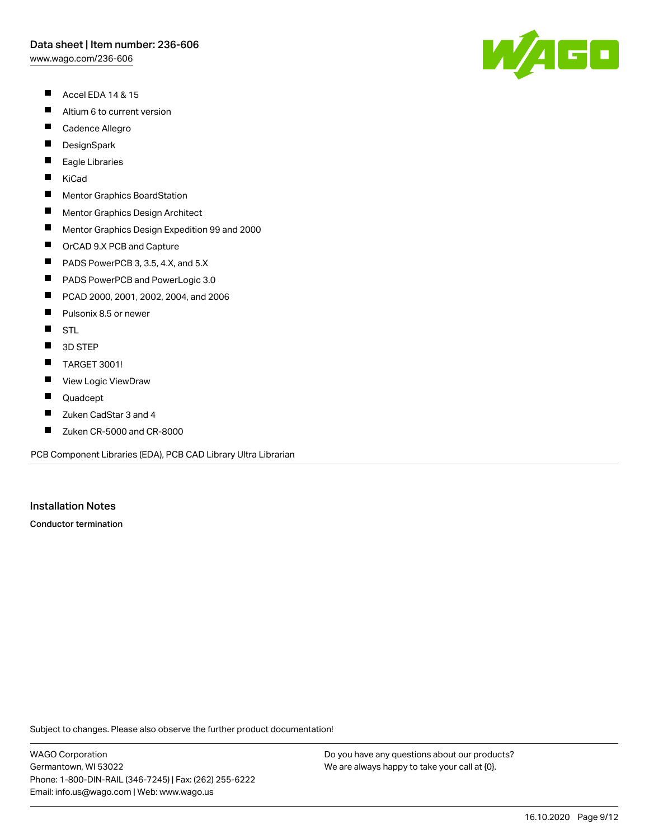[www.wago.com/236-606](http://www.wago.com/236-606)

- $\blacksquare$ Accel EDA 14 & 15
- $\blacksquare$ Altium 6 to current version
- $\blacksquare$ Cadence Allegro
- $\blacksquare$ **DesignSpark**
- П Eagle Libraries
- $\blacksquare$ KiCad
- $\blacksquare$ Mentor Graphics BoardStation
- $\blacksquare$ Mentor Graphics Design Architect
- $\blacksquare$ Mentor Graphics Design Expedition 99 and 2000
- $\blacksquare$ OrCAD 9.X PCB and Capture
- $\blacksquare$ PADS PowerPCB 3, 3.5, 4.X, and 5.X
- $\blacksquare$ PADS PowerPCB and PowerLogic 3.0
- $\blacksquare$ PCAD 2000, 2001, 2002, 2004, and 2006
- $\blacksquare$ Pulsonix 8.5 or newer
- $\blacksquare$ **STL**
- $\blacksquare$ 3D STEP
- $\blacksquare$ TARGET 3001!
- $\blacksquare$ View Logic ViewDraw
- $\blacksquare$ Quadcept
- П Zuken CadStar 3 and 4
- $\blacksquare$ Zuken CR-5000 and CR-8000

PCB Component Libraries (EDA), PCB CAD Library Ultra Librarian

#### Installation Notes

Conductor termination

Subject to changes. Please also observe the further product documentation!

WAGO Corporation Germantown, WI 53022 Phone: 1-800-DIN-RAIL (346-7245) | Fax: (262) 255-6222 Email: info.us@wago.com | Web: www.wago.us

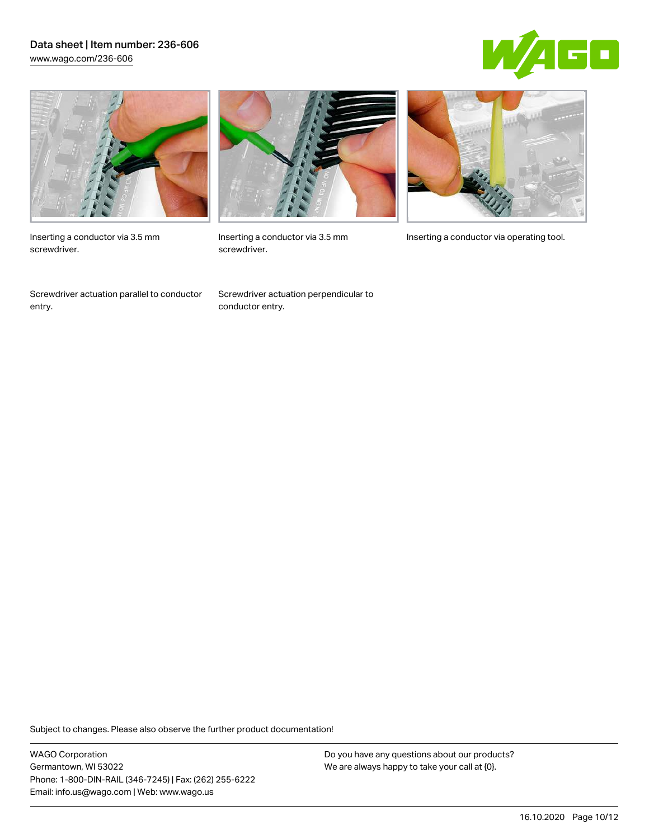#### Data sheet | Item number: 236-606 [www.wago.com/236-606](http://www.wago.com/236-606)





Inserting a conductor via 3.5 mm screwdriver.

Screwdriver actuation parallel to conductor entry.



screwdriver.

Screwdriver actuation perpendicular to conductor entry.



Inserting a conductor via 3.5 mm Inserting a conductor via operating tool.

Subject to changes. Please also observe the further product documentation!

WAGO Corporation Germantown, WI 53022 Phone: 1-800-DIN-RAIL (346-7245) | Fax: (262) 255-6222 Email: info.us@wago.com | Web: www.wago.us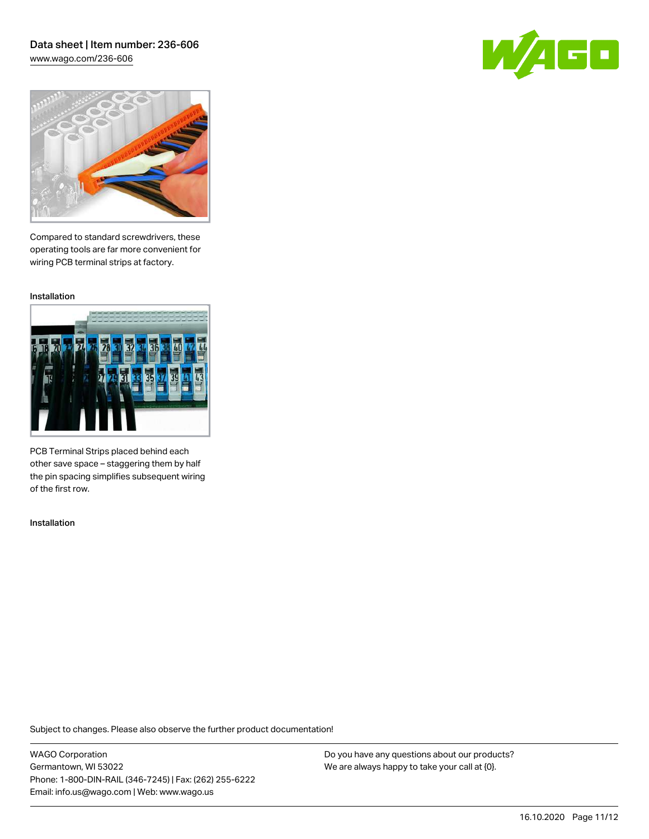### Data sheet | Item number: 236-606 [www.wago.com/236-606](http://www.wago.com/236-606)





Compared to standard screwdrivers, these operating tools are far more convenient for wiring PCB terminal strips at factory.

Installation



PCB Terminal Strips placed behind each other save space – staggering them by half the pin spacing simplifies subsequent wiring of the first row.

Installation

Subject to changes. Please also observe the further product documentation!

WAGO Corporation Germantown, WI 53022 Phone: 1-800-DIN-RAIL (346-7245) | Fax: (262) 255-6222 Email: info.us@wago.com | Web: www.wago.us